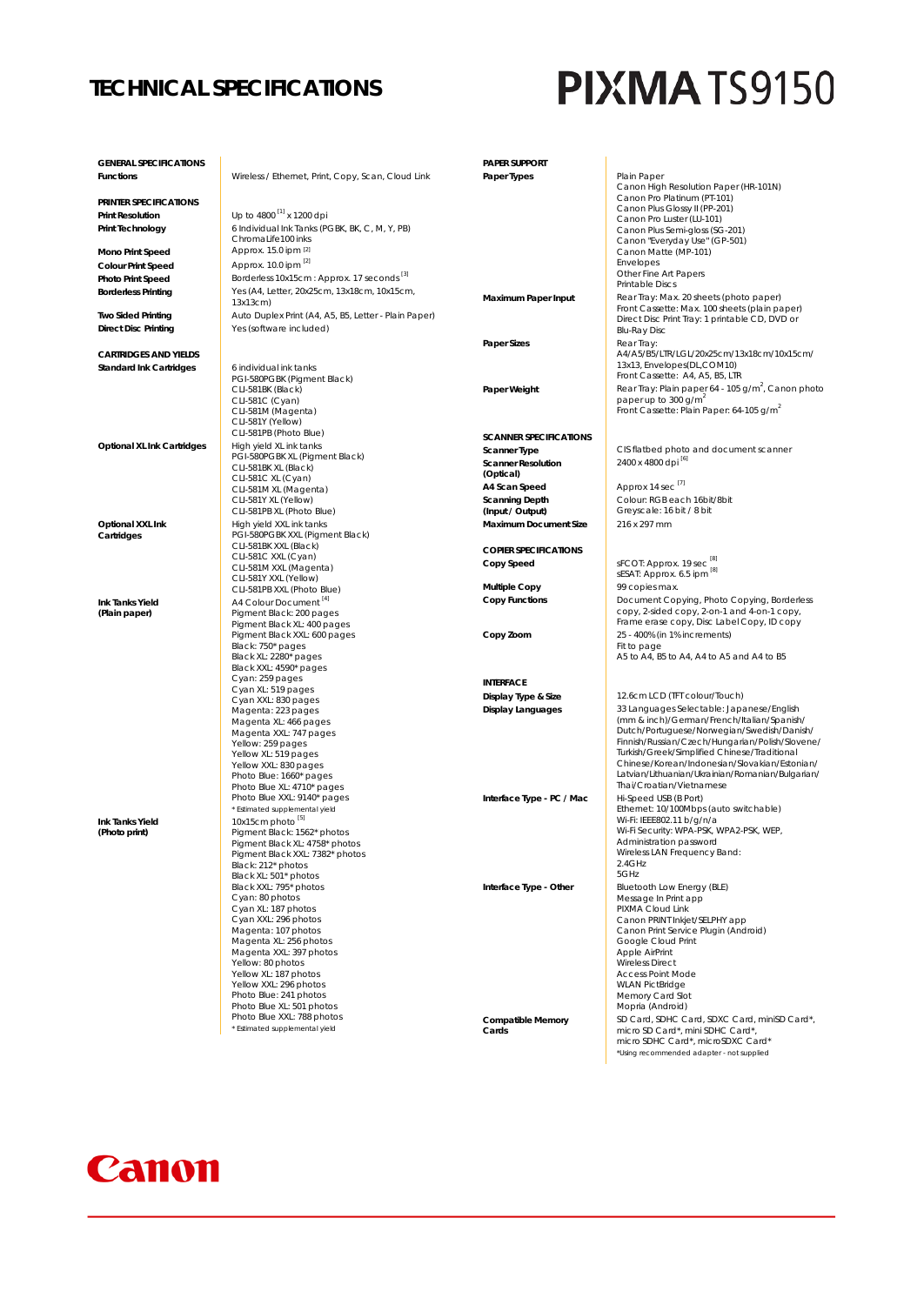### **TECHNICAL SPECIFICATIONS**

# **PIXMATS9150**

| <b>GENERAL SPECIFICATIONS</b>    |                                                             | <b>PAPER SUPPORT</b>          |                                                                                               |
|----------------------------------|-------------------------------------------------------------|-------------------------------|-----------------------------------------------------------------------------------------------|
| Functions                        | Wireless / Ethernet, Print, Copy, Scan, Cloud Link          | Paper Types                   | Plain Paper                                                                                   |
|                                  |                                                             |                               | Canon High Resolution Paper (HR-101N)                                                         |
| PRINTER SPECIFICATIONS           |                                                             |                               | Canon Pro Platinum (PT-101)<br>Canon Plus Glossy II (PP-201)                                  |
| <b>Print Resolution</b>          | Up to 4800 <sup>[1]</sup> x 1200 dpi                        |                               | Canon Pro Luster (LU-101)                                                                     |
| Print Technology                 | 6 Individual Ink Tanks (PGBK, BK, C, M, Y, PB)              |                               | Canon Plus Semi-gloss (SG-201)                                                                |
|                                  | ChromaLife100 inks                                          |                               | Canon "Everyday Use" (GP-501)                                                                 |
| <b>Mono Print Speed</b>          | Approx. 15.0 ipm [2]                                        |                               | Canon Matte (MP-101)                                                                          |
| <b>Colour Print Speed</b>        | Approx. 10.0 ipm [2]                                        |                               | Envelopes<br>Other Fine Art Papers                                                            |
| Photo Print Speed                | Borderless 10x15cm : Approx. 17 seconds <sup>[3]</sup>      |                               | Printable Discs                                                                               |
| <b>Borderless Printing</b>       | Yes (A4, Letter, 20x25cm, 13x18cm, 10x15cm,<br>13x13cm)     | <b>Maximum Paper Input</b>    | Rear Tray: Max. 20 sheets (photo paper)                                                       |
| <b>Two Sided Printing</b>        | Auto Duplex Print (A4, A5, B5, Letter - Plain Paper)        |                               | Front Cassette: Max. 100 sheets (plain paper)                                                 |
| <b>Direct Disc Printing</b>      | Yes (software included)                                     |                               | Direct Disc Print Tray: 1 printable CD, DVD or                                                |
|                                  |                                                             | <b>Paper Sizes</b>            | <b>Blu-Ray Disc</b><br>Rear Tray:                                                             |
| <b>CARTRIDGES AND YIELDS</b>     |                                                             |                               | A4/A5/B5/LTR/LGL/20x25cm/13x18cm/10x15cm/                                                     |
| <b>Standard Ink Cartridges</b>   | 6 individual ink tanks                                      |                               | 13x13, Envelopes(DL,COM10)                                                                    |
|                                  | PGI-580PGBK (Pigment Black)                                 |                               | Front Cassette: A4, A5, B5, LTR                                                               |
|                                  | CLI-581BK (Black)                                           | Paper Weight                  | Rear Tray: Plain paper 64 - 105 g/m <sup>2</sup> , Canon photo                                |
|                                  | CLI-581C (Cyan)<br>CLI-581M (Magenta)                       |                               | paper up to 300 g/m <sup>2</sup><br>Front Cassette: Plain Paper: 64-105 g/m <sup>2</sup>      |
|                                  | CLI-581Y (Yellow)                                           |                               |                                                                                               |
|                                  | CLI-581PB (Photo Blue)                                      | <b>SCANNER SPECIFICATIONS</b> |                                                                                               |
| Optional XL Ink Cartridges       | High yield XL ink tanks                                     | <b>Scanner Type</b>           | CIS flatbed photo and document scanner                                                        |
|                                  | PGI-580PGBK XL (Pigment Black)                              | <b>Scanner Resolution</b>     | 2400 x 4800 dpi [6]                                                                           |
|                                  | CLI-581BK XL (Black)<br>CLI-581C XL (Cyan)                  | (Optical)                     |                                                                                               |
|                                  | CLI-581M XL (Magenta)                                       | A4 Scan Speed                 | Approx 14 sec <sup>[7]</sup>                                                                  |
|                                  | CLI-581Y XL (Yellow)                                        | <b>Scanning Depth</b>         | Colour: RGB each 16bit/8bit                                                                   |
|                                  | CLI-581PB XL (Photo Blue)                                   | (Input / Output)              | Greyscale: 16 bit / 8 bit                                                                     |
| Optional XXL Ink                 | High yield XXL ink tanks                                    | <b>Maximum Document Size</b>  | 216 x 297 mm                                                                                  |
| Cartridges                       | PGI-580PGBK XXL (Pigment Black)                             |                               |                                                                                               |
|                                  | CLI-581BK XXL (Black)<br>CLI-581C XXL (Cyan)                | <b>COPIER SPECIFICATIONS</b>  |                                                                                               |
|                                  | CLI-581M XXL (Magenta)                                      | Copy Speed                    | sFCOT: Approx. 19 sec <sup>[8]</sup>                                                          |
|                                  | CLI-581Y XXL (Yellow)                                       |                               | sESAT: Approx. 6.5 ipm [8]                                                                    |
|                                  | CLI-581PB XXL (Photo Blue)                                  | <b>Multiple Copy</b>          | 99 copies max.                                                                                |
| Ink Tanks Yield                  | A4 Colour Document <sup>[4]</sup>                           | <b>Copy Functions</b>         | Document Copying, Photo Copying, Borderless                                                   |
| (Plain paper)                    | Pigment Black: 200 pages<br>Pigment Black XL: 400 pages     |                               | copy, 2-sided copy, 2-on-1 and 4-on-1 copy,<br>Frame erase copy, Disc Label Copy, ID copy     |
|                                  | Pigment Black XXL: 600 pages                                | Copy Zoom                     | 25 - 400% (in 1% increments)                                                                  |
|                                  | Black: 750* pages                                           |                               | Fit to page                                                                                   |
|                                  | Black XL: 2280* pages                                       |                               | A5 to A4, B5 to A4, A4 to A5 and A4 to B5                                                     |
|                                  | Black XXL: 4590* pages                                      |                               |                                                                                               |
|                                  | Cyan: 259 pages<br>Cyan XL: 519 pages                       | <b>INTERFACE</b>              |                                                                                               |
|                                  | Cyan XXL: 830 pages                                         | Display Type & Size           | 12.6cm LCD (TFT colour/Touch)                                                                 |
|                                  | Magenta: 223 pages                                          | <b>Display Languages</b>      | 33 Languages Selectable: Japanese/English                                                     |
|                                  | Magenta XL: 466 pages                                       |                               | (mm & inch)/German/French/Italian/Spanish/                                                    |
|                                  | Magenta XXL: 747 pages                                      |                               | Dutch/Portuguese/Norwegian/Swedish/Danish/<br>Finnish/Russian/Czech/Hungarian/Polish/Slovene/ |
|                                  | Yellow: 259 pages<br>Yellow XL: 519 pages                   |                               | Turkish/Greek/Simplified Chinese/Traditional                                                  |
|                                  | Yellow XXL: 830 pages                                       |                               | Chinese/Korean/Indonesian/Slovakian/Estonian/                                                 |
|                                  | Photo Blue: 1660* pages                                     |                               | Latvian/Lithuanian/Ukrainian/Romanian/Bulgarian/                                              |
|                                  | Photo Blue XL: 4710* pages                                  |                               | Thai/Croatian/Vietnamese                                                                      |
|                                  | Photo Blue XXL: 9140* pages                                 | Interface Type - PC / Mac     | Hi-Speed USB (B Port)                                                                         |
|                                  | * Estimated supplemental yield                              |                               | Ethernet: 10/100Mbps (auto switchable)<br>Wi-Fi: IEEE802.11 b/g/n/a                           |
| Ink Tanks Yield<br>(Photo print) | 10x15cm photo <sup>[5]</sup><br>Pigment Black: 1562* photos |                               | Wi-Fi Security: WPA-PSK, WPA2-PSK, WEP,                                                       |
|                                  | Pigment Black XL: 4758* photos                              |                               | Administration password                                                                       |
|                                  | Pigment Black XXL: 7382* photos                             |                               | Wireless LAN Frequency Band:                                                                  |
|                                  | Black: 212* photos                                          |                               | 2.4GHz                                                                                        |
|                                  | Black XL: 501* photos                                       |                               | 5GHz                                                                                          |
|                                  | Black XXL: 795* photos<br>Cyan: 80 photos                   | Interface Type - Other        | Bluetooth Low Energy (BLE)                                                                    |
|                                  | Cyan XL: 187 photos                                         |                               | Message In Print app<br>PIXMA Cloud Link                                                      |
|                                  | Cyan XXL: 296 photos                                        |                               | Canon PRINT Inkjet/SELPHY app                                                                 |
|                                  | Magenta: 107 photos                                         |                               | Canon Print Service Plugin (Android)                                                          |
|                                  | Magenta XL: 256 photos                                      |                               | Google Cloud Print                                                                            |
|                                  | Magenta XXL: 397 photos                                     |                               | Apple AirPrint                                                                                |
|                                  | Yellow: 80 photos<br>Yellow XL: 187 photos                  |                               | <b>Wireless Direct</b>                                                                        |
|                                  | Yellow XXL: 296 photos                                      |                               | <b>Access Point Mode</b><br><b>WLAN PictBridge</b>                                            |
|                                  | Photo Blue: 241 photos                                      |                               | Memory Card Slot                                                                              |
|                                  | Photo Blue XL: 501 photos                                   |                               | Mopria (Android)                                                                              |
|                                  | Photo Blue XXL: 788 photos                                  | <b>Compatible Memory</b>      | SD Card, SDHC Card, SDXC Card, miniSD Card*,                                                  |
|                                  | * Estimated supplemental yield                              | Cards                         | micro SD Card*, mini SDHC Card*,                                                              |
|                                  |                                                             |                               | micro SDHC Card*, microSDXC Card*                                                             |
|                                  |                                                             |                               | *Using recommended adapter - not supplied                                                     |